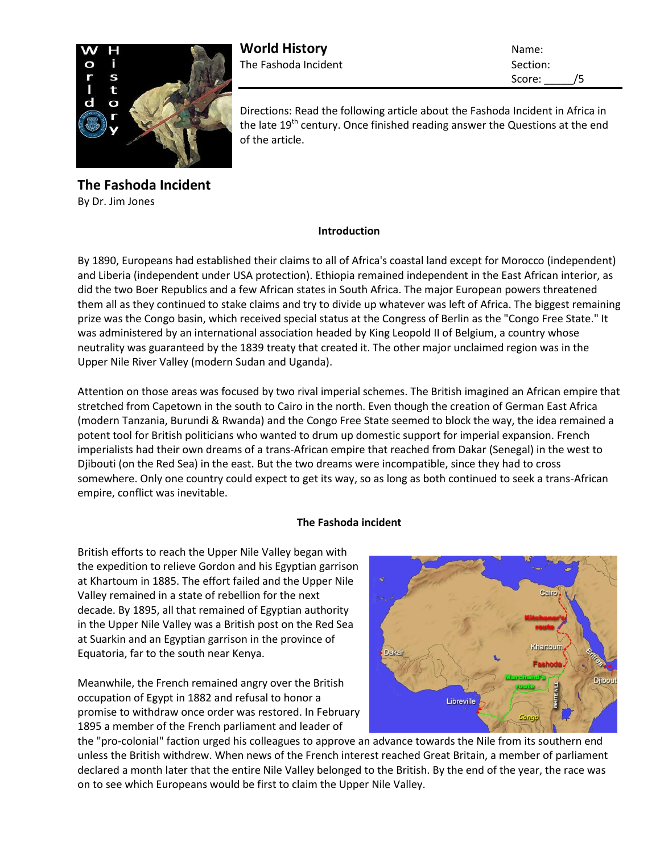

**World History** Name: The Fashoda Incident Section:

Score: /5

Directions: Read the following article about the Fashoda Incident in Africa in the late  $19<sup>th</sup>$  century. Once finished reading answer the Questions at the end of the article.

**The Fashoda Incident** By Dr. Jim Jones

## **Introduction**

By 1890, Europeans had established their claims to all of Africa's coastal land except for Morocco (independent) and Liberia (independent under USA protection). Ethiopia remained independent in the East African interior, as did the two Boer Republics and a few African states in South Africa. The major European powers threatened them all as they continued to stake claims and try to divide up whatever was left of Africa. The biggest remaining prize was the Congo basin, which received special status at the Congress of Berlin as the "Congo Free State." It was administered by an international association headed by King Leopold II of Belgium, a country whose neutrality was guaranteed by the 1839 treaty that created it. The other major unclaimed region was in the Upper Nile River Valley (modern Sudan and Uganda).

Attention on those areas was focused by two rival imperial schemes. The British imagined an African empire that stretched from Capetown in the south to Cairo in the north. Even though the creation of German East Africa (modern Tanzania, Burundi & Rwanda) and the Congo Free State seemed to block the way, the idea remained a potent tool for British politicians who wanted to drum up domestic support for imperial expansion. French imperialists had their own dreams of a trans-African empire that reached from Dakar (Senegal) in the west to Djibouti (on the Red Sea) in the east. But the two dreams were incompatible, since they had to cross somewhere. Only one country could expect to get its way, so as long as both continued to seek a trans-African empire, conflict was inevitable.

## **The Fashoda incident**

British efforts to reach the Upper Nile Valley began with the expedition to relieve Gordon and his Egyptian garrison at Khartoum in 1885. The effort failed and the Upper Nile Valley remained in a state of rebellion for the next decade. By 1895, all that remained of Egyptian authority in the Upper Nile Valley was a British post on the Red Sea at Suarkin and an Egyptian garrison in the province of Equatoria, far to the south near Kenya.

Meanwhile, the French remained angry over the British occupation of Egypt in 1882 and refusal to honor a promise to withdraw once order was restored. In February 1895 a member of the French parliament and leader of



the "pro-colonial" faction urged his colleagues to approve an advance towards the Nile from its southern end unless the British withdrew. When news of the French interest reached Great Britain, a member of parliament declared a month later that the entire Nile Valley belonged to the British. By the end of the year, the race was on to see which Europeans would be first to claim the Upper Nile Valley.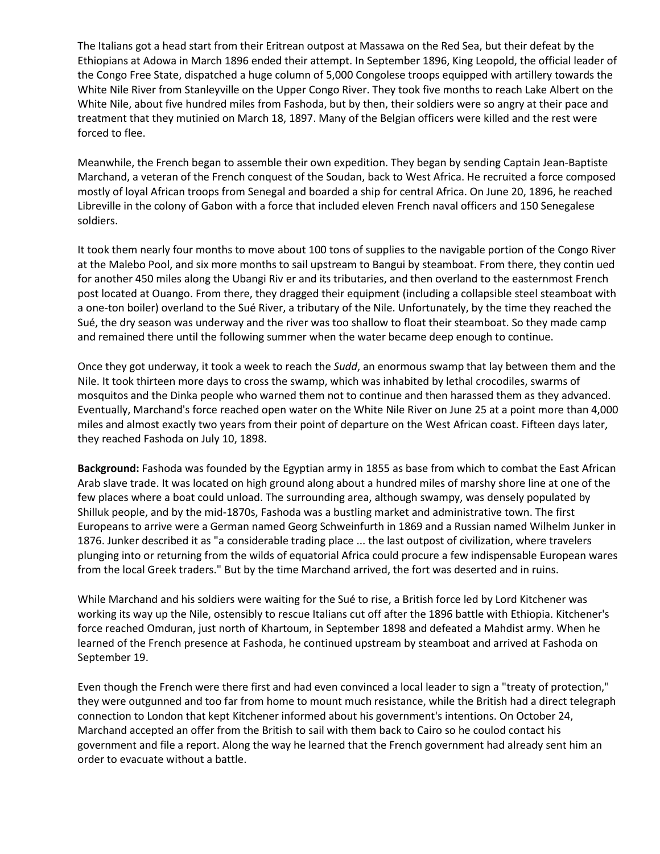The Italians got a head start from their Eritrean outpost at Massawa on the Red Sea, but their defeat by the Ethiopians at Adowa in March 1896 ended their attempt. In September 1896, King Leopold, the official leader of the Congo Free State, dispatched a huge column of 5,000 Congolese troops equipped with artillery towards the White Nile River from Stanleyville on the Upper Congo River. They took five months to reach Lake Albert on the White Nile, about five hundred miles from Fashoda, but by then, their soldiers were so angry at their pace and treatment that they mutinied on March 18, 1897. Many of the Belgian officers were killed and the rest were forced to flee.

Meanwhile, the French began to assemble their own expedition. They began by sending Captain Jean-Baptiste Marchand, a veteran of the French conquest of the Soudan, back to West Africa. He recruited a force composed mostly of loyal African troops from Senegal and boarded a ship for central Africa. On June 20, 1896, he reached Libreville in the colony of Gabon with a force that included eleven French naval officers and 150 Senegalese soldiers.

It took them nearly four months to move about 100 tons of supplies to the navigable portion of the Congo River at the Malebo Pool, and six more months to sail upstream to Bangui by steamboat. From there, they contin ued for another 450 miles along the Ubangi Riv er and its tributaries, and then overland to the easternmost French post located at Ouango. From there, they dragged their equipment (including a collapsible steel steamboat with a one-ton boiler) overland to the Sué River, a tributary of the Nile. Unfortunately, by the time they reached the Sué, the dry season was underway and the river was too shallow to float their steamboat. So they made camp and remained there until the following summer when the water became deep enough to continue.

Once they got underway, it took a week to reach the *Sudd*, an enormous swamp that lay between them and the Nile. It took thirteen more days to cross the swamp, which was inhabited by lethal crocodiles, swarms of mosquitos and the Dinka people who warned them not to continue and then harassed them as they advanced. Eventually, Marchand's force reached open water on the White Nile River on June 25 at a point more than 4,000 miles and almost exactly two years from their point of departure on the West African coast. Fifteen days later, they reached Fashoda on July 10, 1898.

**Background:** Fashoda was founded by the Egyptian army in 1855 as base from which to combat the East African Arab slave trade. It was located on high ground along about a hundred miles of marshy shore line at one of the few places where a boat could unload. The surrounding area, although swampy, was densely populated by Shilluk people, and by the mid-1870s, Fashoda was a bustling market and administrative town. The first Europeans to arrive were a German named Georg Schweinfurth in 1869 and a Russian named Wilhelm Junker in 1876. Junker described it as "a considerable trading place ... the last outpost of civilization, where travelers plunging into or returning from the wilds of equatorial Africa could procure a few indispensable European wares from the local Greek traders." But by the time Marchand arrived, the fort was deserted and in ruins.

While Marchand and his soldiers were waiting for the Sué to rise, a British force led by Lord Kitchener was working its way up the Nile, ostensibly to rescue Italians cut off after the 1896 battle with Ethiopia. Kitchener's force reached Omduran, just north of Khartoum, in September 1898 and defeated a Mahdist army. When he learned of the French presence at Fashoda, he continued upstream by steamboat and arrived at Fashoda on September 19.

Even though the French were there first and had even convinced a local leader to sign a "treaty of protection," they were outgunned and too far from home to mount much resistance, while the British had a direct telegraph connection to London that kept Kitchener informed about his government's intentions. On October 24, Marchand accepted an offer from the British to sail with them back to Cairo so he coulod contact his government and file a report. Along the way he learned that the French government had already sent him an order to evacuate without a battle.